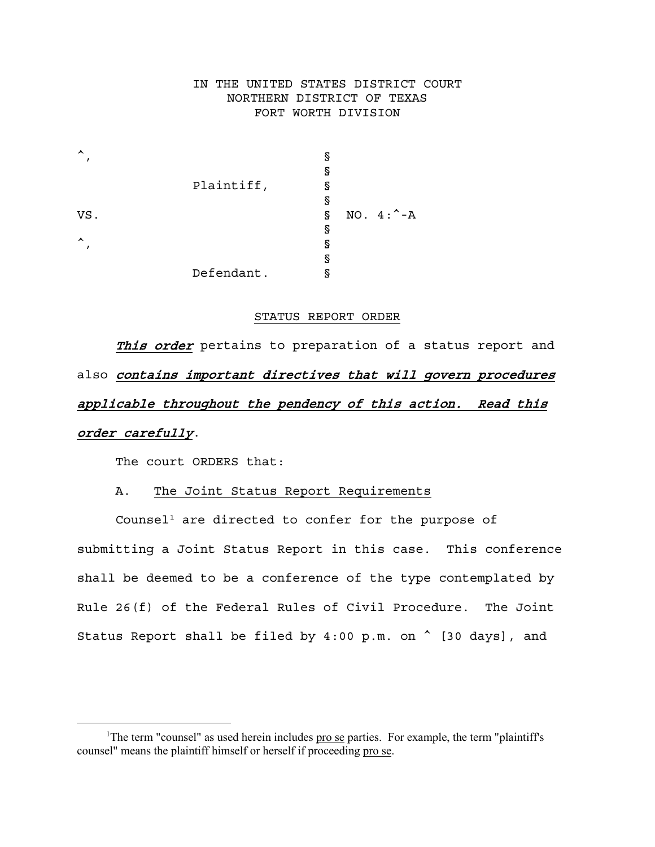# IN THE UNITED STATES DISTRICT COURT NORTHERN DISTRICT OF TEXAS FORT WORTH DIVISION

| ᄉ                |            | g                         |  |
|------------------|------------|---------------------------|--|
|                  |            | g                         |  |
|                  | Plaintiff, | g                         |  |
|                  |            | g                         |  |
| VS.              |            | NO. $4:^{\wedge}$ -A<br>g |  |
|                  |            | g                         |  |
| $\blacktriangle$ |            | g                         |  |
|                  |            | g                         |  |
|                  | Defendant. |                           |  |

#### STATUS REPORT ORDER

This order pertains to preparation of a status report and also contains important directives that will govern procedures applicable throughout the pendency of this action. Read this order carefully.

The court ORDERS that:

### A. The Joint Status Report Requirements

Counsel<sup>[1](#page-0-0)</sup> are directed to confer for the purpose of submitting a Joint Status Report in this case. This conference shall be deemed to be a conference of the type contemplated by Rule 26(f) of the Federal Rules of Civil Procedure. The Joint Status Report shall be filed by  $4:00$  p.m. on  $\hat{ }$  [30 days], and

<span id="page-0-0"></span><sup>&</sup>lt;sup>1</sup>The term "counsel" as used herein includes pro se parties. For example, the term "plaintiff's counsel" means the plaintiff himself or herself if proceeding pro se.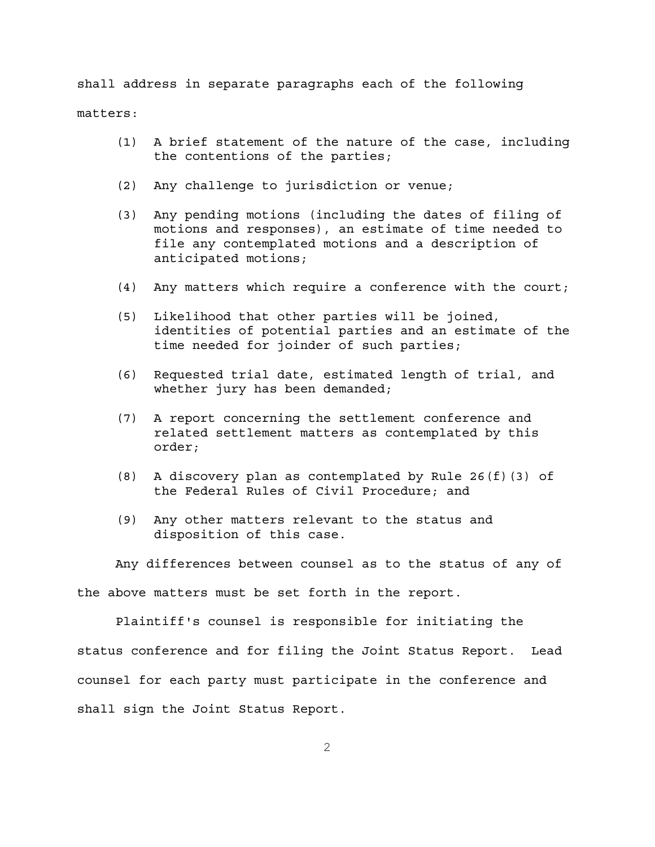shall address in separate paragraphs each of the following matters:

- (1) A brief statement of the nature of the case, including the contentions of the parties;
- (2) Any challenge to jurisdiction or venue;
- (3) Any pending motions (including the dates of filing of motions and responses), an estimate of time needed to file any contemplated motions and a description of anticipated motions;
- (4) Any matters which require a conference with the court;
- (5) Likelihood that other parties will be joined, identities of potential parties and an estimate of the time needed for joinder of such parties;
- (6) Requested trial date, estimated length of trial, and whether jury has been demanded;
- (7) A report concerning the settlement conference and related settlement matters as contemplated by this order;
- (8) A discovery plan as contemplated by Rule 26(f)(3) of the Federal Rules of Civil Procedure; and
- (9) Any other matters relevant to the status and disposition of this case.

Any differences between counsel as to the status of any of the above matters must be set forth in the report.

Plaintiff's counsel is responsible for initiating the status conference and for filing the Joint Status Report. Lead counsel for each party must participate in the conference and shall sign the Joint Status Report.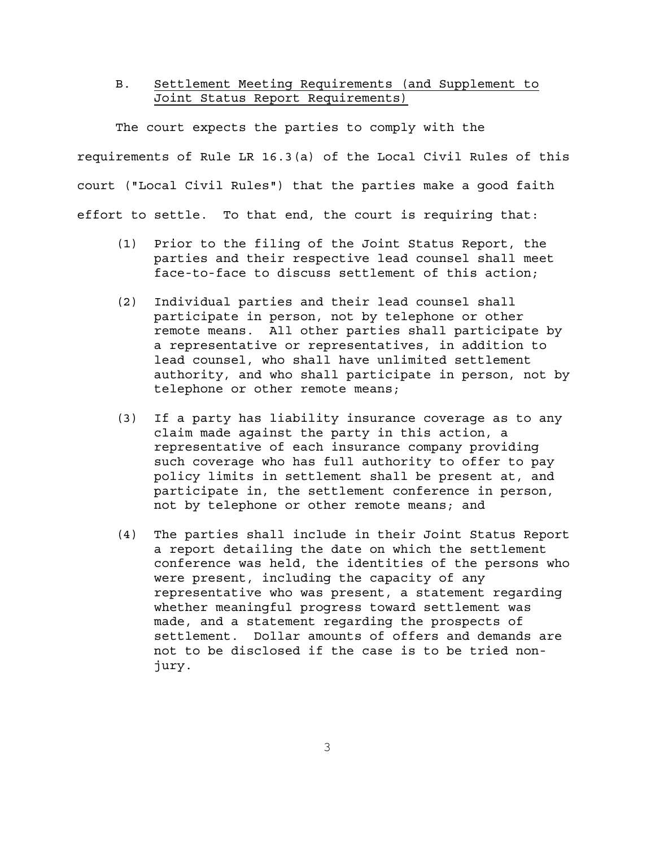### B. Settlement Meeting Requirements (and Supplement to Joint Status Report Requirements)

The court expects the parties to comply with the requirements of Rule LR 16.3(a) of the Local Civil Rules of this court ("Local Civil Rules") that the parties make a good faith effort to settle. To that end, the court is requiring that:

- (1) Prior to the filing of the Joint Status Report, the parties and their respective lead counsel shall meet face-to-face to discuss settlement of this action;
- (2) Individual parties and their lead counsel shall participate in person, not by telephone or other remote means. All other parties shall participate by a representative or representatives, in addition to lead counsel, who shall have unlimited settlement authority, and who shall participate in person, not by telephone or other remote means;
- (3) If a party has liability insurance coverage as to any claim made against the party in this action, a representative of each insurance company providing such coverage who has full authority to offer to pay policy limits in settlement shall be present at, and participate in, the settlement conference in person, not by telephone or other remote means; and
- (4) The parties shall include in their Joint Status Report a report detailing the date on which the settlement conference was held, the identities of the persons who were present, including the capacity of any representative who was present, a statement regarding whether meaningful progress toward settlement was made, and a statement regarding the prospects of settlement. Dollar amounts of offers and demands are not to be disclosed if the case is to be tried nonjury.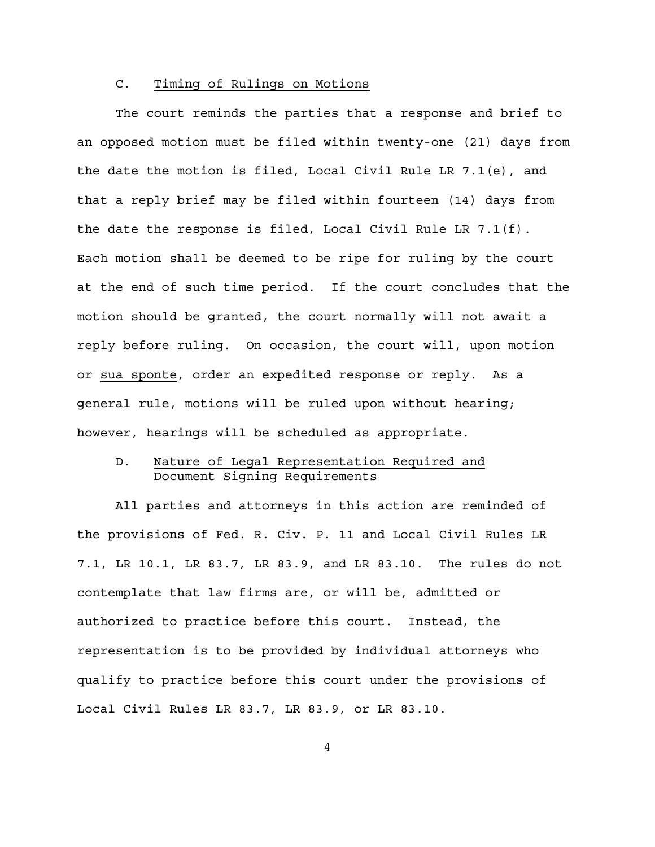### C. Timing of Rulings on Motions

The court reminds the parties that a response and brief to an opposed motion must be filed within twenty-one (21) days from the date the motion is filed, Local Civil Rule LR 7.1(e), and that a reply brief may be filed within fourteen (14) days from the date the response is filed, Local Civil Rule LR 7.1(f). Each motion shall be deemed to be ripe for ruling by the court at the end of such time period. If the court concludes that the motion should be granted, the court normally will not await a reply before ruling. On occasion, the court will, upon motion or sua sponte, order an expedited response or reply. As a general rule, motions will be ruled upon without hearing; however, hearings will be scheduled as appropriate.

# D. Nature of Legal Representation Required and Document Signing Requirements

All parties and attorneys in this action are reminded of the provisions of Fed. R. Civ. P. 11 and Local Civil Rules LR 7.1, LR 10.1, LR 83.7, LR 83.9, and LR 83.10. The rules do not contemplate that law firms are, or will be, admitted or authorized to practice before this court. Instead, the representation is to be provided by individual attorneys who qualify to practice before this court under the provisions of Local Civil Rules LR 83.7, LR 83.9, or LR 83.10.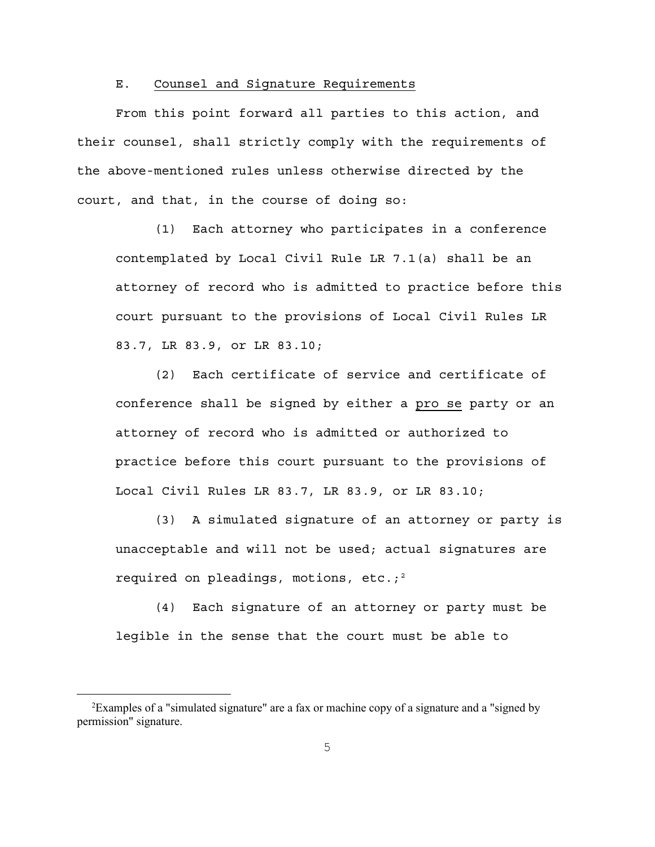### E. Counsel and Signature Requirements

From this point forward all parties to this action, and their counsel, shall strictly comply with the requirements of the above-mentioned rules unless otherwise directed by the court, and that, in the course of doing so:

(1) Each attorney who participates in a conference contemplated by Local Civil Rule LR 7.1(a) shall be an attorney of record who is admitted to practice before this court pursuant to the provisions of Local Civil Rules LR 83.7, LR 83.9, or LR 83.10;

(2) Each certificate of service and certificate of conference shall be signed by either a pro se party or an attorney of record who is admitted or authorized to practice before this court pursuant to the provisions of Local Civil Rules LR 83.7, LR 83.9, or LR 83.10;

(3) A simulated signature of an attorney or party is unacceptable and will not be used; actual signatures are required on pleadings, motions, etc.;<sup>[2](#page-4-0)</sup>

(4) Each signature of an attorney or party must be legible in the sense that the court must be able to

<span id="page-4-0"></span> <sup>2</sup> Examples of a "simulated signature" are a fax or machine copy of a signature and a "signed by permission" signature.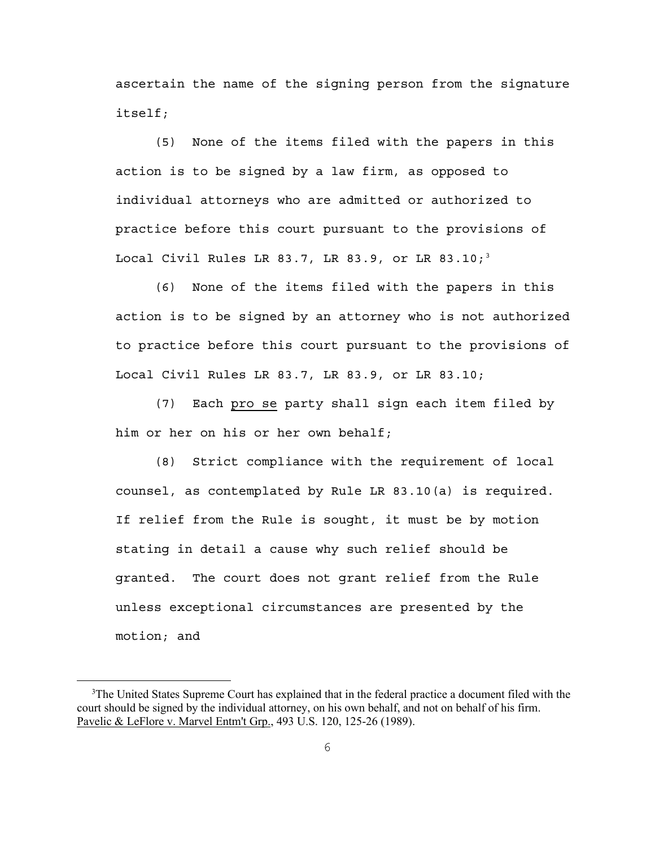ascertain the name of the signing person from the signature itself;

(5) None of the items filed with the papers in this action is to be signed by a law firm, as opposed to individual attorneys who are admitted or authorized to practice before this court pursuant to the provisions of Local Civil Rules LR 8[3](#page-5-0).7, LR 83.9, or LR 83.10;<sup>3</sup>

(6) None of the items filed with the papers in this action is to be signed by an attorney who is not authorized to practice before this court pursuant to the provisions of Local Civil Rules LR 83.7, LR 83.9, or LR 83.10;

(7) Each pro se party shall sign each item filed by him or her on his or her own behalf;

(8) Strict compliance with the requirement of local counsel, as contemplated by Rule LR 83.10(a) is required. If relief from the Rule is sought, it must be by motion stating in detail a cause why such relief should be granted. The court does not grant relief from the Rule unless exceptional circumstances are presented by the motion; and

<span id="page-5-0"></span><sup>&</sup>lt;sup>3</sup>The United States Supreme Court has explained that in the federal practice a document filed with the court should be signed by the individual attorney, on his own behalf, and not on behalf of his firm. Pavelic & LeFlore v. Marvel Entm't Grp., 493 U.S. 120, 125-26 (1989).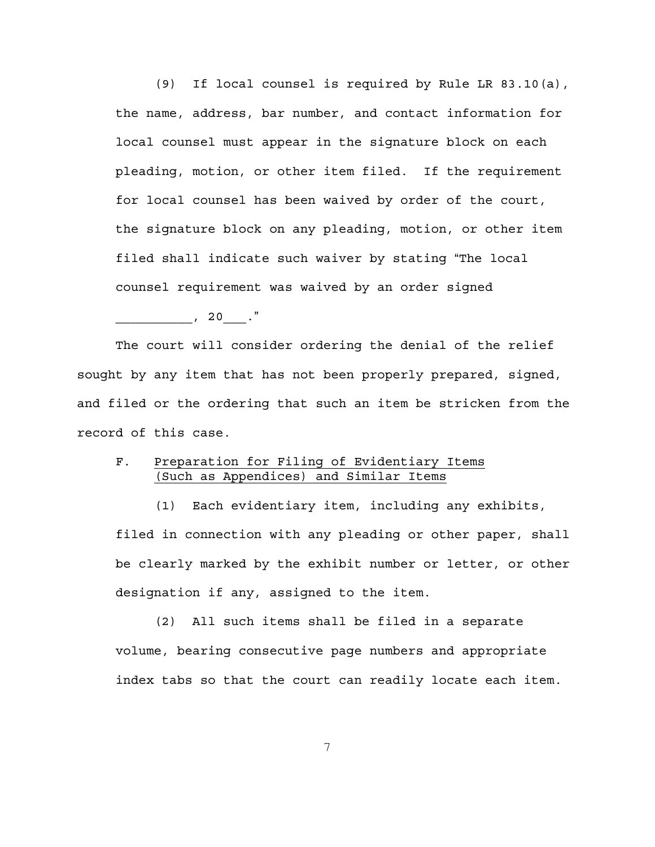(9) If local counsel is required by Rule LR 83.10(a), the name, address, bar number, and contact information for local counsel must appear in the signature block on each pleading, motion, or other item filed. If the requirement for local counsel has been waived by order of the court, the signature block on any pleading, motion, or other item filed shall indicate such waiver by stating "The local counsel requirement was waived by an order signed

 $\begin{array}{ccc} & 20 & \cdots \end{array}$ 

The court will consider ordering the denial of the relief sought by any item that has not been properly prepared, signed, and filed or the ordering that such an item be stricken from the record of this case.

# F. Preparation for Filing of Evidentiary Items (Such as Appendices) and Similar Items

(1) Each evidentiary item, including any exhibits, filed in connection with any pleading or other paper, shall be clearly marked by the exhibit number or letter, or other designation if any, assigned to the item.

(2) All such items shall be filed in a separate volume, bearing consecutive page numbers and appropriate index tabs so that the court can readily locate each item.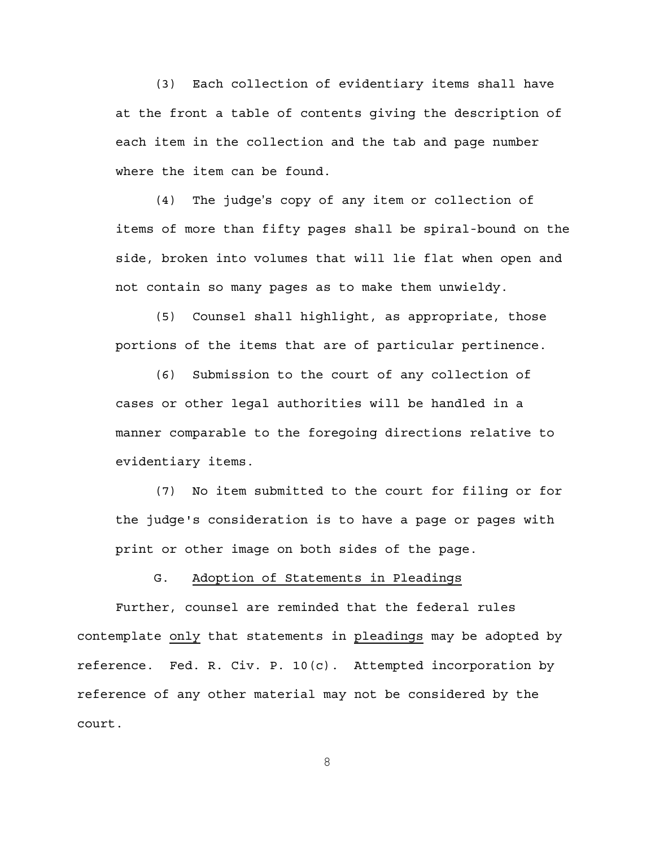(3) Each collection of evidentiary items shall have at the front a table of contents giving the description of each item in the collection and the tab and page number where the item can be found.

 $(4)$  The judge's copy of any item or collection of items of more than fifty pages shall be spiral-bound on the side, broken into volumes that will lie flat when open and not contain so many pages as to make them unwieldy.

(5) Counsel shall highlight, as appropriate, those portions of the items that are of particular pertinence.

(6) Submission to the court of any collection of cases or other legal authorities will be handled in a manner comparable to the foregoing directions relative to evidentiary items.

(7) No item submitted to the court for filing or for the judge's consideration is to have a page or pages with print or other image on both sides of the page.

G. Adoption of Statements in Pleadings

Further, counsel are reminded that the federal rules contemplate only that statements in pleadings may be adopted by reference. Fed. R. Civ. P. 10(c). Attempted incorporation by reference of any other material may not be considered by the court.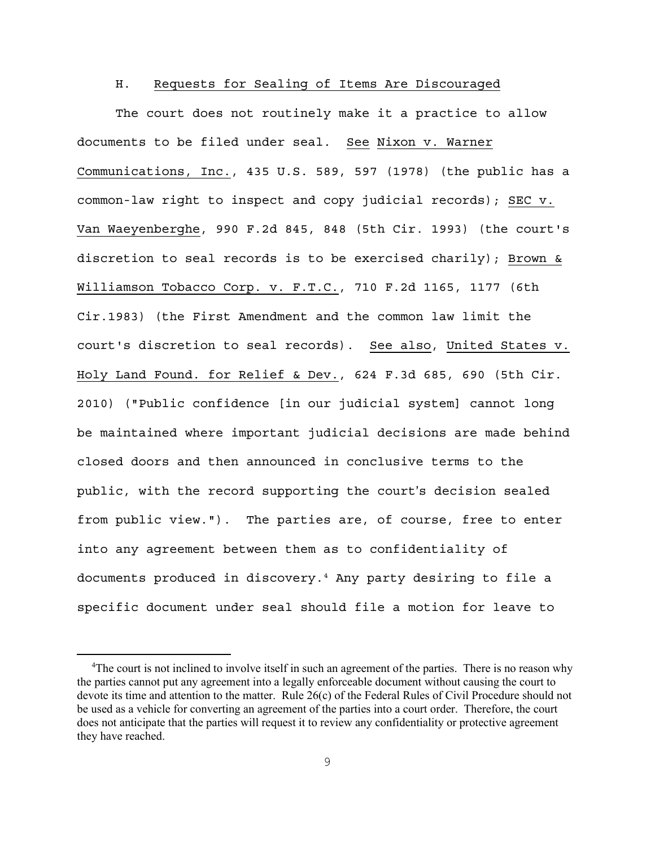### H. Requests for Sealing of Items Are Discouraged

The court does not routinely make it a practice to allow documents to be filed under seal. See Nixon v. Warner Communications, Inc., 435 U.S. 589, 597 (1978) (the public has a common-law right to inspect and copy judicial records); SEC v. Van Waeyenberghe, 990 F.2d 845, 848 (5th Cir. 1993) (the court's discretion to seal records is to be exercised charily); Brown & Williamson Tobacco Corp. v. F.T.C., 710 F.2d 1165, 1177 (6th Cir.1983) (the First Amendment and the common law limit the court's discretion to seal records). See also, United States v. Holy Land Found. for Relief & Dev., 624 F.3d 685, 690 (5th Cir. 2010) ("Public confidence [in our judicial system] cannot long be maintained where important judicial decisions are made behind closed doors and then announced in conclusive terms to the public, with the record supporting the court's decision sealed from public view."). The parties are, of course, free to enter into any agreement between them as to confidentiality of documents produced in discovery.[4](#page-8-0) Any party desiring to file a specific document under seal should file a motion for leave to

<span id="page-8-0"></span><sup>&</sup>lt;sup>4</sup>The court is not inclined to involve itself in such an agreement of the parties. There is no reason why the parties cannot put any agreement into a legally enforceable document without causing the court to devote its time and attention to the matter. Rule 26(c) of the Federal Rules of Civil Procedure should not be used as a vehicle for converting an agreement of the parties into a court order. Therefore, the court does not anticipate that the parties will request it to review any confidentiality or protective agreement they have reached.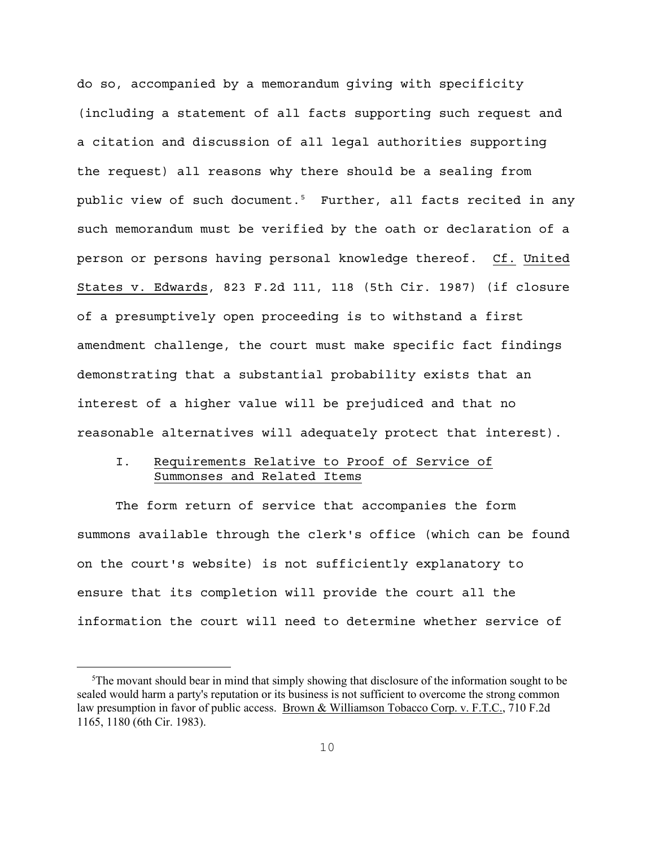do so, accompanied by a memorandum giving with specificity (including a statement of all facts supporting such request and a citation and discussion of all legal authorities supporting the request) all reasons why there should be a sealing from public view of such document.<sup>[5](#page-9-0)</sup> Further, all facts recited in any such memorandum must be verified by the oath or declaration of a person or persons having personal knowledge thereof. Cf. United States v. Edwards, 823 F.2d 111, 118 (5th Cir. 1987) (if closure of a presumptively open proceeding is to withstand a first amendment challenge, the court must make specific fact findings demonstrating that a substantial probability exists that an interest of a higher value will be prejudiced and that no reasonable alternatives will adequately protect that interest).

# I. Requirements Relative to Proof of Service of Summonses and Related Items

The form return of service that accompanies the form summons available through the clerk's office (which can be found on the court's website) is not sufficiently explanatory to ensure that its completion will provide the court all the information the court will need to determine whether service of

<span id="page-9-0"></span><sup>&</sup>lt;sup>5</sup>The movant should bear in mind that simply showing that disclosure of the information sought to be sealed would harm a party's reputation or its business is not sufficient to overcome the strong common law presumption in favor of public access. Brown & Williamson Tobacco Corp. v. F.T.C., 710 F.2d 1165, 1180 (6th Cir. 1983).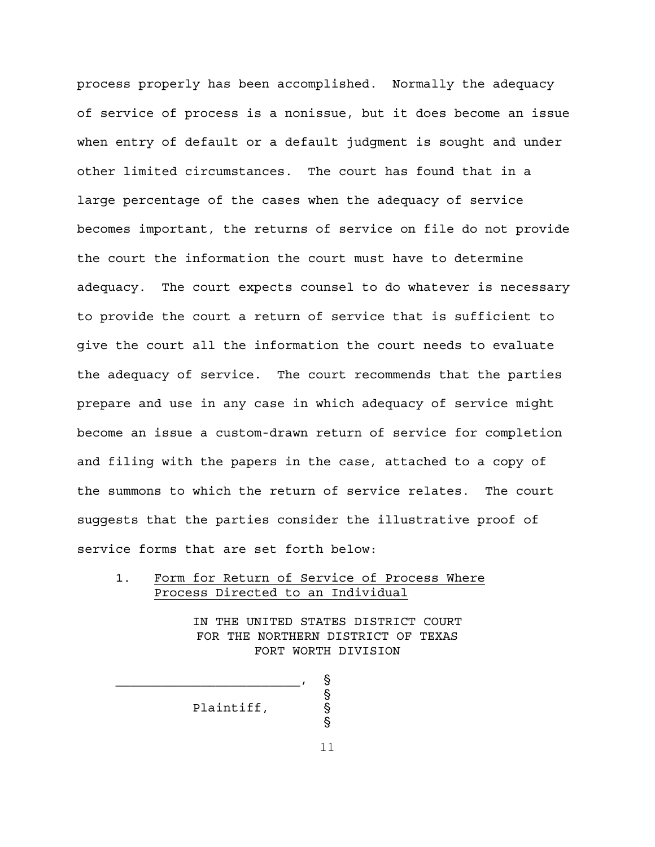process properly has been accomplished. Normally the adequacy of service of process is a nonissue, but it does become an issue when entry of default or a default judgment is sought and under other limited circumstances. The court has found that in a large percentage of the cases when the adequacy of service becomes important, the returns of service on file do not provide the court the information the court must have to determine adequacy. The court expects counsel to do whatever is necessary to provide the court a return of service that is sufficient to give the court all the information the court needs to evaluate the adequacy of service. The court recommends that the parties prepare and use in any case in which adequacy of service might become an issue a custom-drawn return of service for completion and filing with the papers in the case, attached to a copy of the summons to which the return of service relates. The court suggests that the parties consider the illustrative proof of service forms that are set forth below:

### 1. Form for Return of Service of Process Where Process Directed to an Individual

IN THE UNITED STATES DISTRICT COURT FOR THE NORTHERN DISTRICT OF TEXAS FORT WORTH DIVISION

Plaintiff, '

 $\sim$  . So the set of the set of the set of the set of the set of the set of the set of the set of the set of the set of the set of the set of the set of the set of the set of the set of the set of the set of the set of th

11

**့** 

 $\S$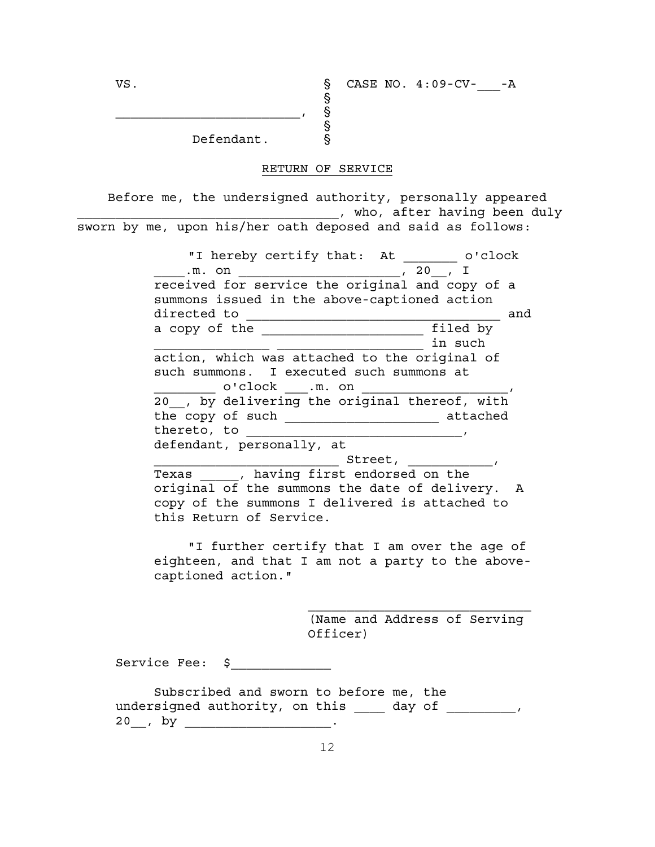Defendant. §

 $\sim$  . So the set of the set of the set of the set of the set of the set of the set of the set of the set of the set of the set of the set of the set of the set of the set of the set of the set of the set of the set of th

#### RETURN OF SERVICE

 $\$\,$ 

 $\tilde{\S}$ 

Before me, the undersigned authority, personally appeared \_\_\_\_\_\_\_\_\_\_\_\_\_\_\_\_\_\_\_\_\_\_\_\_\_\_\_\_\_\_\_\_\_\_, who, after having been duly sworn by me, upon his/her oath deposed and said as follows:

> "I hereby certify that: At \_\_\_\_\_\_\_\_ o'clock  $\overline{\ldots}$  m. on  $\overline{\phantom{0}}$  , 20  $\overline{\phantom{0}}$  I received for service the original and copy of a summons issued in the above-captioned action directed to \_\_\_\_\_\_\_\_\_\_\_\_\_\_\_\_\_\_\_\_\_\_\_\_\_\_\_\_\_\_\_\_\_ and a copy of the state of the state of the state of the state of the state of the state of the state of the state \_\_\_\_\_\_\_\_\_\_\_\_\_\_\_ \_\_\_\_\_\_\_\_\_\_\_\_\_\_\_\_\_\_\_ in such action, which was attached to the original of such summons. I executed such summons at  $\circ$ 'clock  $\qquad$  .m. on 20 , by delivering the original thereof, with the copy of such \_\_\_\_\_\_\_\_\_\_\_\_\_\_\_\_\_\_\_\_ attached thereto, to \_\_\_\_\_\_\_\_\_\_\_\_\_\_\_\_\_\_\_\_\_\_\_\_\_\_\_\_, defendant, personally, at \_\_\_\_\_\_\_\_\_\_\_\_\_\_\_\_\_\_\_\_\_\_\_\_ Street, \_\_\_\_\_\_\_\_\_\_\_, Texas \_\_\_\_\_, having first endorsed on the original of the summons the date of delivery. A copy of the summons I delivered is attached to this Return of Service. "I further certify that I am over the age of eighteen, and that I am not a party to the abovecaptioned action."

> > (Name and Address of Serving Officer)

Service Fee: \$

Subscribed and sworn to before me, the undersigned authority, on this \_\_\_\_ day of \_\_\_\_\_\_\_\_, 20\_\_, by \_\_\_\_\_\_\_\_\_\_\_\_\_\_\_\_\_\_\_\_\_.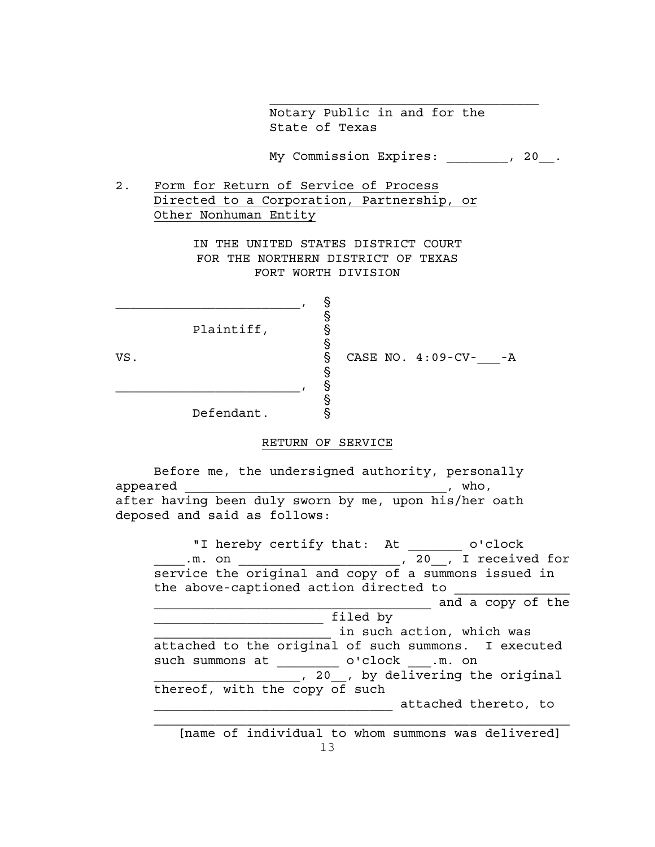Notary Public in and for the State of Texas

My Commission Expires: \_\_\_\_\_\_\_\_, 20\_\_.

 $\mathcal{L}_\text{max}$ 

2. Form for Return of Service of Process Directed to a Corporation, Partnership, or Other Nonhuman Entity

> IN THE UNITED STATES DISTRICT COURT FOR THE NORTHERN DISTRICT OF TEXAS FORT WORTH DIVISION

> > ş

§

ş

§

Plaintiff,

\_\_\_\_\_\_\_\_\_\_\_\_\_\_\_\_\_\_\_\_\_\_\_\_, '

VS. S CASE NO. 4:09-CV- -A

Defendant.

 $\sim$  . So the set of  $\sim$  . So the set of  $\sim$ 

## RETURN OF SERVICE

Before me, the undersigned authority, personally  $\Delta p$  appeared  $\Delta p$  appeared  $\Delta p$  and  $\Delta p$  appeared  $\Delta p$ after having been duly sworn by me, upon his/her oath deposed and said as follows:

"I hereby certify that: At \_\_\_\_\_\_\_\_ o'clock \_\_\_\_\_.m. on \_\_\_\_\_\_\_\_\_\_\_\_\_\_\_\_\_\_\_\_\_\_\_\_, 20\_\_, I received for service the original and copy of a summons issued in the above-captioned action directed to \_\_\_\_\_\_\_\_\_\_\_\_\_\_\_\_\_\_\_\_\_\_\_\_\_\_\_\_\_\_\_\_\_\_\_\_ and a copy of the  $\frac{1}{\text{filled by}}$  $\equiv$  in such action, which was attached to the original of such summons. I executed such summons at \_\_\_\_\_\_\_\_\_\_ o'clock \_\_\_.m. on 1. 20<sub>11</sub>, by delivering the original thereof, with the copy of such \_\_\_\_\_\_\_\_\_\_\_\_\_\_\_\_\_\_\_\_\_\_\_\_\_\_\_\_\_\_\_ attached thereto, to

13 [name of individual to whom summons was delivered]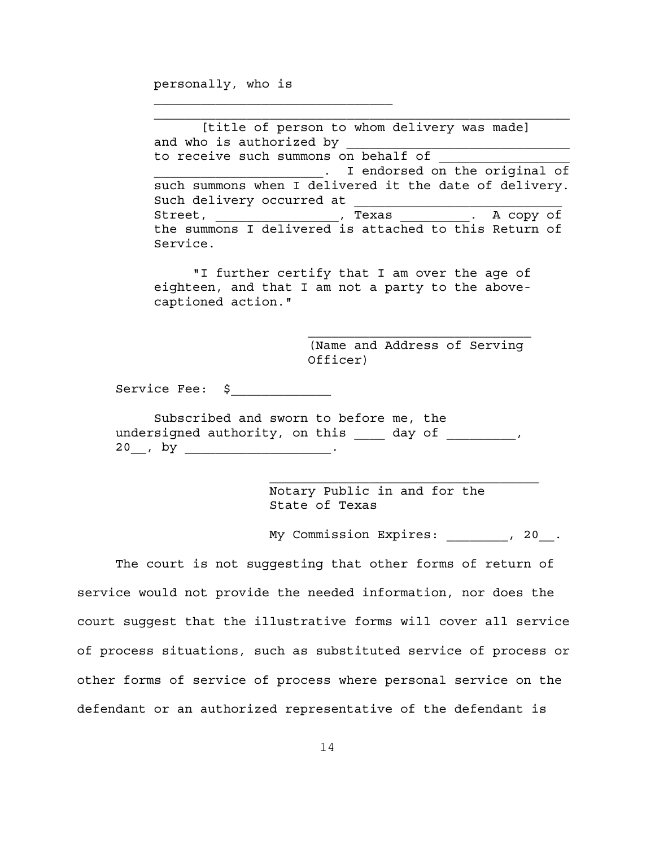personally, who is

 $\mathcal{L}_\text{max}$ 

 [title of person to whom delivery was made] and who is authorized by to receive such summons on behalf of . I endorsed on the original of such summons when I delivered it the date of delivery. Such delivery occurred at Street, \_\_\_\_\_\_\_\_\_\_\_\_\_\_, Texas \_\_\_\_\_\_\_\_\_\_, A copy of the summons I delivered is attached to this Return of Service.

"I further certify that I am over the age of eighteen, and that I am not a party to the abovecaptioned action."

> (Name and Address of Serving Officer)

> \_\_\_\_\_\_\_\_\_\_\_\_\_\_\_\_\_\_\_\_\_\_\_\_\_\_\_\_\_

Service Fee: \$

Subscribed and sworn to before me, the undersigned authority, on this  $\frac{1}{\sqrt{2}}$  day of  $\frac{1}{\sqrt{2}}$ , 20 , by .

> Notary Public in and for the State of Texas

My Commission Expires: \_\_\_\_\_\_\_\_, 20\_\_.

The court is not suggesting that other forms of return of service would not provide the needed information, nor does the court suggest that the illustrative forms will cover all service of process situations, such as substituted service of process or other forms of service of process where personal service on the defendant or an authorized representative of the defendant is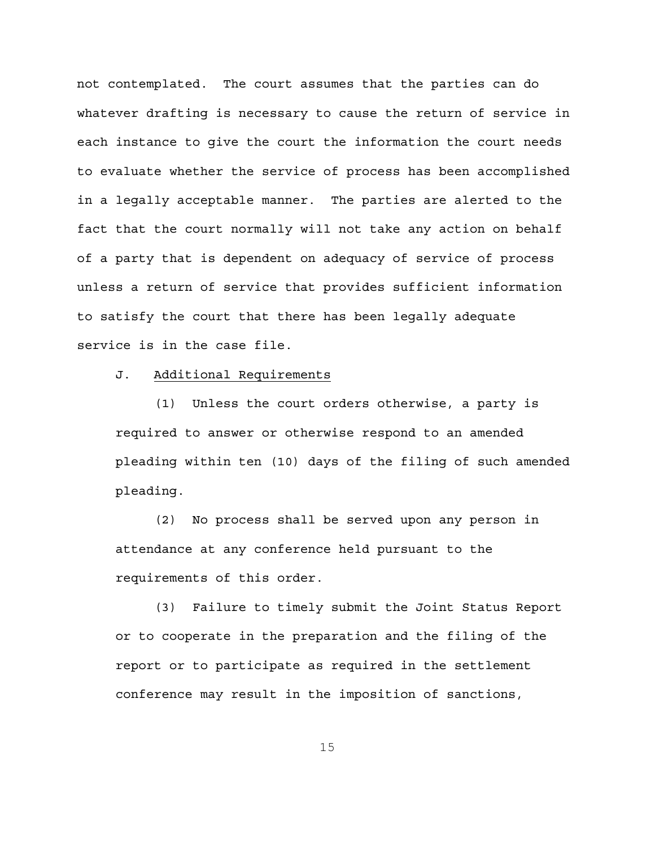not contemplated. The court assumes that the parties can do whatever drafting is necessary to cause the return of service in each instance to give the court the information the court needs to evaluate whether the service of process has been accomplished in a legally acceptable manner. The parties are alerted to the fact that the court normally will not take any action on behalf of a party that is dependent on adequacy of service of process unless a return of service that provides sufficient information to satisfy the court that there has been legally adequate service is in the case file.

#### J. Additional Requirements

(1) Unless the court orders otherwise, a party is required to answer or otherwise respond to an amended pleading within ten (10) days of the filing of such amended pleading.

(2) No process shall be served upon any person in attendance at any conference held pursuant to the requirements of this order.

(3) Failure to timely submit the Joint Status Report or to cooperate in the preparation and the filing of the report or to participate as required in the settlement conference may result in the imposition of sanctions,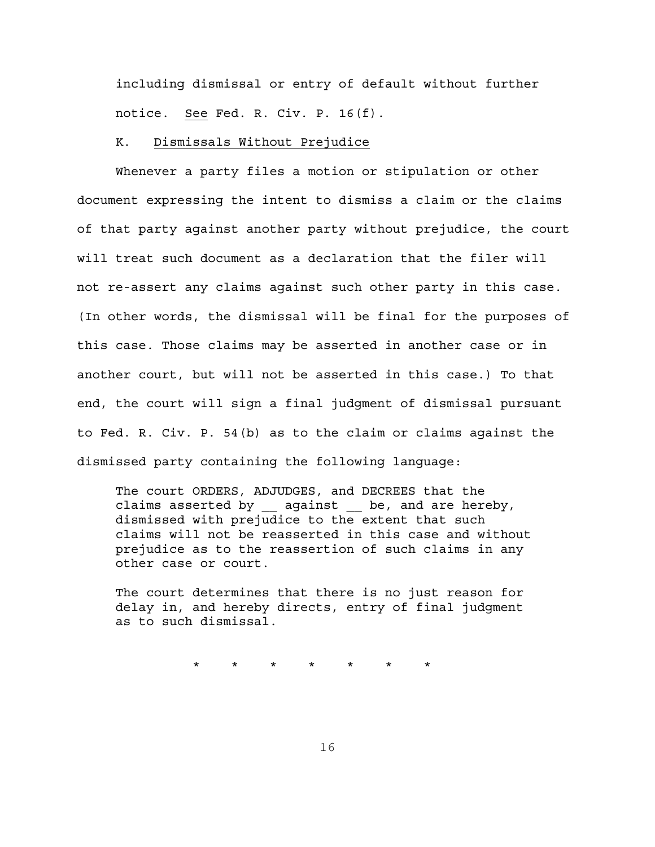including dismissal or entry of default without further notice. See Fed. R. Civ. P. 16(f).

#### K. Dismissals Without Prejudice

Whenever a party files a motion or stipulation or other document expressing the intent to dismiss a claim or the claims of that party against another party without prejudice, the court will treat such document as a declaration that the filer will not re-assert any claims against such other party in this case. (In other words, the dismissal will be final for the purposes of this case. Those claims may be asserted in another case or in another court, but will not be asserted in this case.) To that end, the court will sign a final judgment of dismissal pursuant to Fed. R. Civ. P. 54(b) as to the claim or claims against the dismissed party containing the following language:

The court ORDERS, ADJUDGES, and DECREES that the claims asserted by against be, and are hereby, dismissed with prejudice to the extent that such claims will not be reasserted in this case and without prejudice as to the reassertion of such claims in any other case or court.

The court determines that there is no just reason for delay in, and hereby directs, entry of final judgment as to such dismissal.

\* \* \* \* \* \* \*